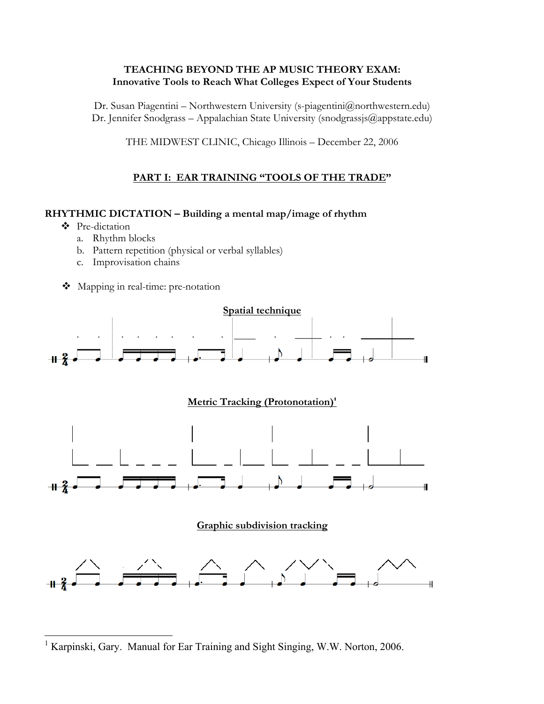### **TEACHING BEYOND THE AP MUSIC THEORY EXAM: Innovative Tools to Reach What Colleges Expect of Your Students**

Dr. Susan Piagentini – Northwestern University (s-piagentini@northwestern.edu) Dr. Jennifer Snodgrass – Appalachian State University (snodgrassjs $@$ appstate.edu)

THE MIDWEST CLINIC, Chicago Illinois – December 22, 2006

# **PART I: EAR TRAINING "TOOLS OF THE TRADE"**

#### **RHYTHMIC DICTATION – Building a mental map/image of rhythm**

- ❖ Pre-dictation
	- a. Rhythm blocks
	- b. Pattern repetition (physical or verbal syllables)
	- c. Improvisation chains
- Mapping in real-time: pre-notation



 $\frac{1}{1}$ Karpinski, Gary. Manual for Ear Training and Sight Singing, W.W. Norton, 2006.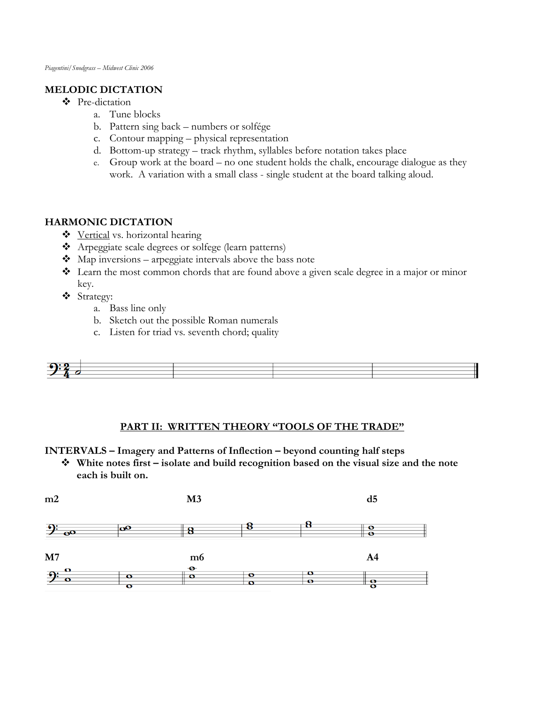## **MELODIC DICTATION**

- ❖ Pre-dictation
	- a. Tune blocks
	- b. Pattern sing back numbers or solfége
	- c. Contour mapping physical representation
	- d. Bottom-up strategy track rhythm, syllables before notation takes place
	- e. Group work at the board no one student holds the chalk, encourage dialogue as they work. A variation with a small class - single student at the board talking aloud.

## **HARMONIC DICTATION**

- ❖ Vertical vs. horizontal hearing
- ◆ Arpeggiate scale degrees or solfege (learn patterns)
- $\bullet$  Map inversions arpeggiate intervals above the bass note
- ! Learn the most common chords that are found above a given scale degree in a major or minor key.
- ! Strategy:
	- a. Bass line only
	- b. Sketch out the possible Roman numerals
	- c. Listen for triad vs. seventh chord; quality



#### **PART II: WRITTEN THEORY "TOOLS OF THE TRADE"**

**INTERVALS – Imagery and Patterns of Inflection – beyond counting half steps**

! **White notes first – isolate and build recognition based on the visual size and the note each is built on.**

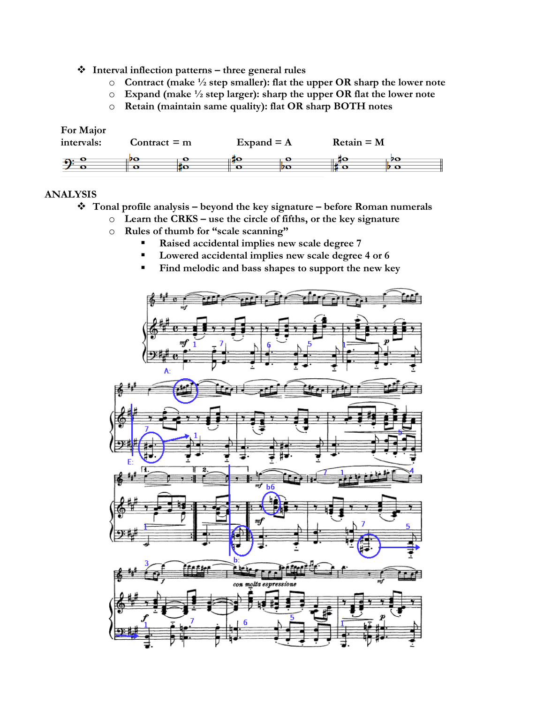- ! **Interval inflection patterns three general rules**
	- o **Contract (make ! step smaller): flat the upper OR sharp the lower note**
	- o **Expand (make ! step larger): sharp the upper OR flat the lower note**
	- o **Retain (maintain same quality): flat OR sharp BOTH notes**

| For Major<br>intervals: | Contract = $m$ |   | Expand $= A$ |    | $Retain = M$ |    |  |
|-------------------------|----------------|---|--------------|----|--------------|----|--|
|                         |                | ю | ace          | DO |              | 90 |  |

#### **ANALYSIS**

- ! **Tonal profile analysis beyond the key signature before Roman numerals**
	- o **Learn the CRKS use the circle of fifths, or the key signature**
		- o **Rules of thumb for "scale scanning"**
			- " **Raised accidental implies new scale degree 7**
			- " **Lowered accidental implies new scale degree 4 or 6**
			- " **Find melodic and bass shapes to support the new key**